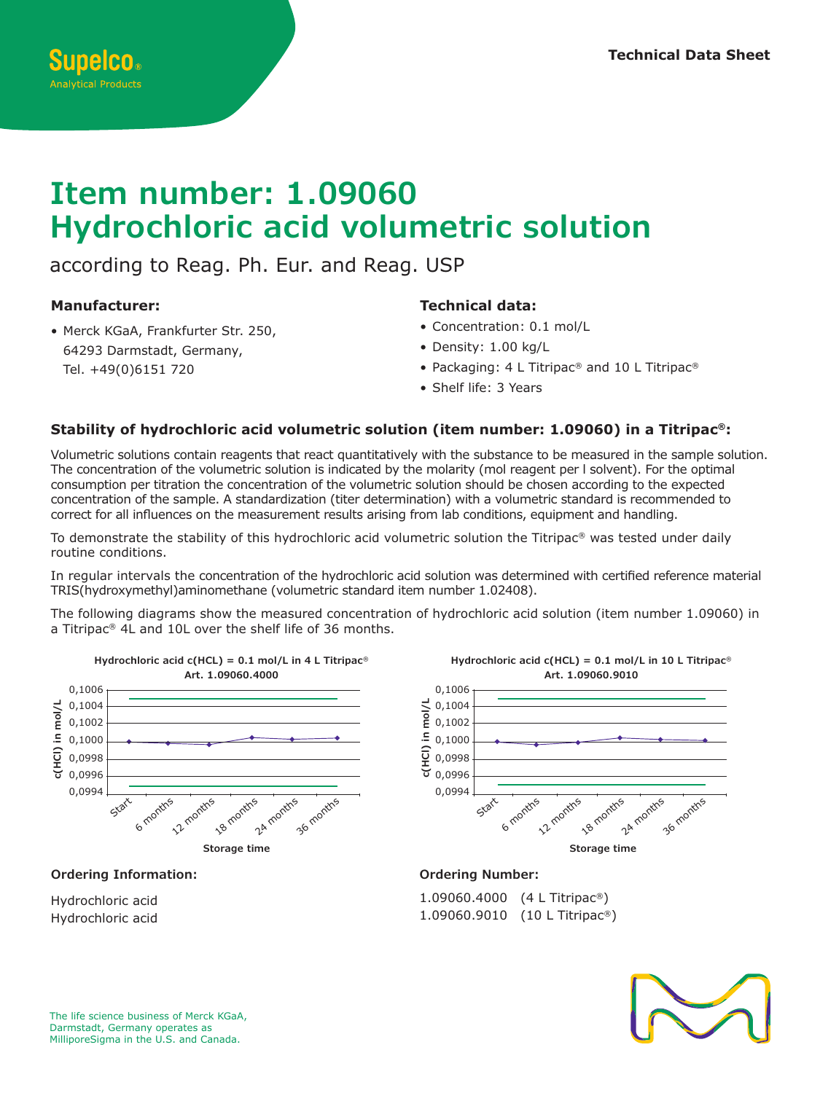#### **Item number: 1.09060 Hydrochloric acid volumetric solution Art. 1.08431.4000 c**<br>Big<br>M **c**<br>in 0,1006 0,1004 0,1006 **Titriplex® III c(Na2-EDTA) = 0.1 mol/L in 4 L Titripac®** 1**.000 n**<br>Te 0,1004 0,1006 16<br>1 0,1006

according to Reag. Ph. Eur. and Reag. USP cording to Reag. Fil. Lui. and Reag. O*or*, acc  $\overline{\mathsf{C}}$ 

## **Manufacturer:**

• Merck KGaA, Frankfurter Str. 250,<br>64293 Darmstadt, Germany, Merck KGaA, Frankfurter Str. 2:<br>64293 Darmstadt, Germany,<br>— 30 months Tel. +49(0)6151 720

# Technical data:

- Concentration: 0.1 mol/L
- $\bullet$  Concentration: 0.1 m
- o concentration: 0.1 mor, 2<br>• Density: 1.00 kg/L<br>• Packaging: 4 L Titripac® and 10 L Titripac®  $\overline{3}$  $300$
- Shelf life: 3 Years

#### Stability of hydrochloric acid volumetric solution (item number: 1.09060) in a Titripac®: **Art. 1.09057.9010 Art. 1.09057.9010**

Volumetric solutions contain reagents that react quantitatively with the substance to be measured in the sample solution. The concentration of the volumetric solution is indicated by the molarity (mol reagent per I solvent). For the optimal consumption per titration the concentration of the volumetric solution should be chosen according to the expected concentration of the sample. A standardization (titer determination) with a volumetric standard is recommended to correct for all influences on the measurement results arising from lab conditions, equipment and handling. I r<br>CO<br>CO<br>TC ่<br>ic<br>(เ)<br>La r<br>di<br>Dr<br>et

To demonstrate the stability of this hydrochloric acid volumetric solution the Titripac® was tested under daily routine conditions.

In regular intervals the concentration of the hydrochloric acid solution was determined with certified reference material<br>TRIS(hydroxymethyl)aminomethane (volumetric standard item number 1.02408). TRIS(hydroxymethyl)aminomethane (volumetric standard item number 1.02408).

The following diagrams show the measured concentration of hydrochloric acid solution (item number 1.09060) in **Storage time Storage time Storage time Storage time** a Titripac® 4L and 10L over the shelf life of 36 months.



# **Ordering Information:**

Hydrochloric acid Hydrochloric acid



1.09060.4000 (4 L Titripac®) 1.09060.9010 (10 L Titripac®)